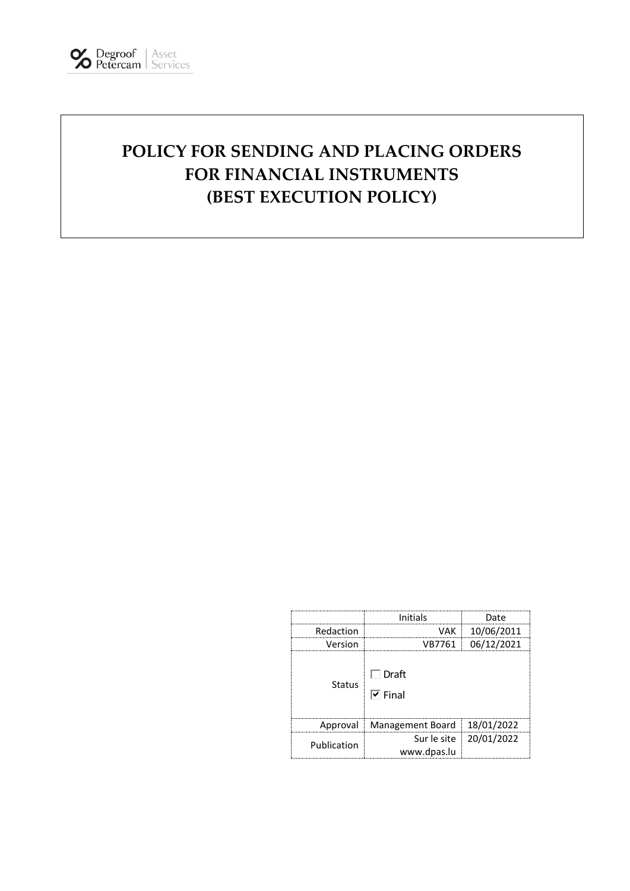# **POLICY FOR SENDING AND PLACING ORDERS FOR FINANCIAL INSTRUMENTS (BEST EXECUTION POLICY)**

|             | Initials                              | Date                     |
|-------------|---------------------------------------|--------------------------|
| Redaction   | VAK                                   | 10/06/2011               |
| Version     | VB7761                                | 06/12/2021               |
| Status      | $\Box$ Draft<br>$\triangledown$ Final |                          |
|             | Approval Management Board 18/01/2022  |                          |
| Publication | www.dpas.lu                           | Sur le site   20/01/2022 |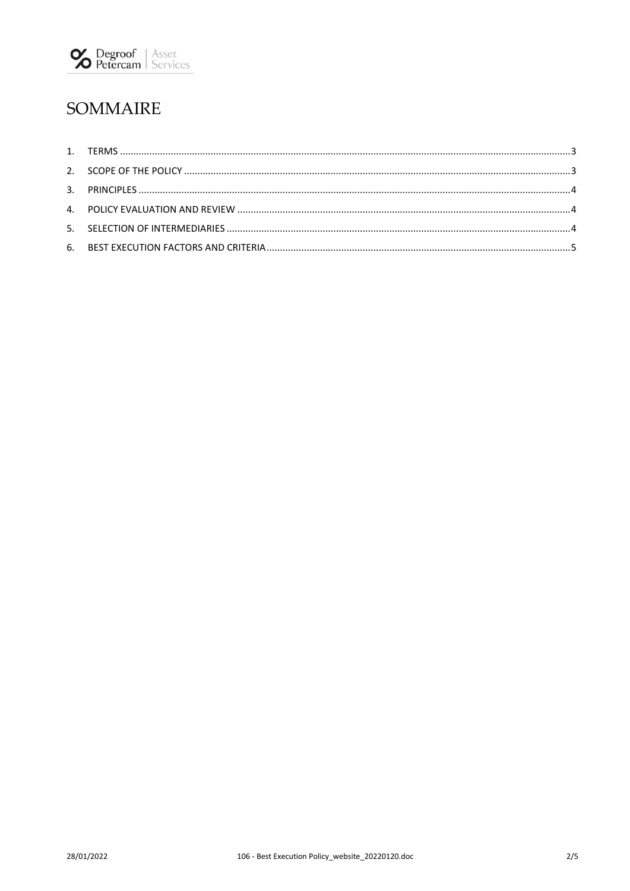

## SOMMAIRE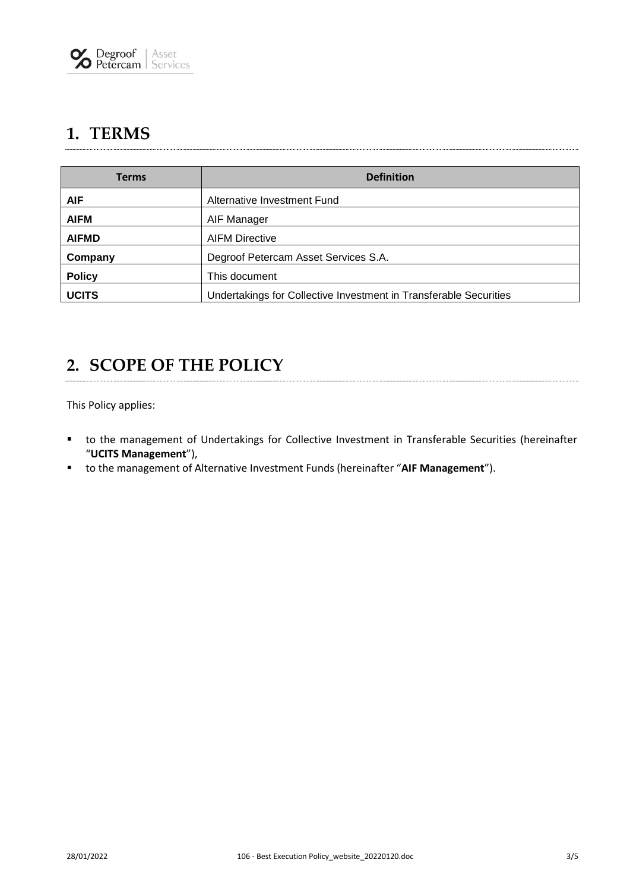### <span id="page-2-0"></span>**1. TERMS**

| <b>Terms</b>  | <b>Definition</b>                                                 |  |
|---------------|-------------------------------------------------------------------|--|
| <b>AIF</b>    | Alternative Investment Fund                                       |  |
| <b>AIFM</b>   | AIF Manager                                                       |  |
| <b>AIFMD</b>  | <b>AIFM Directive</b>                                             |  |
| Company       | Degroof Petercam Asset Services S.A.                              |  |
| <b>Policy</b> | This document                                                     |  |
| <b>UCITS</b>  | Undertakings for Collective Investment in Transferable Securities |  |

#### <span id="page-2-1"></span>**2. SCOPE OF THE POLICY**

This Policy applies:

- to the management of Undertakings for Collective Investment in Transferable Securities (hereinafter "**UCITS Management**"),
- to the management of Alternative Investment Funds (hereinafter "**AIF Management**").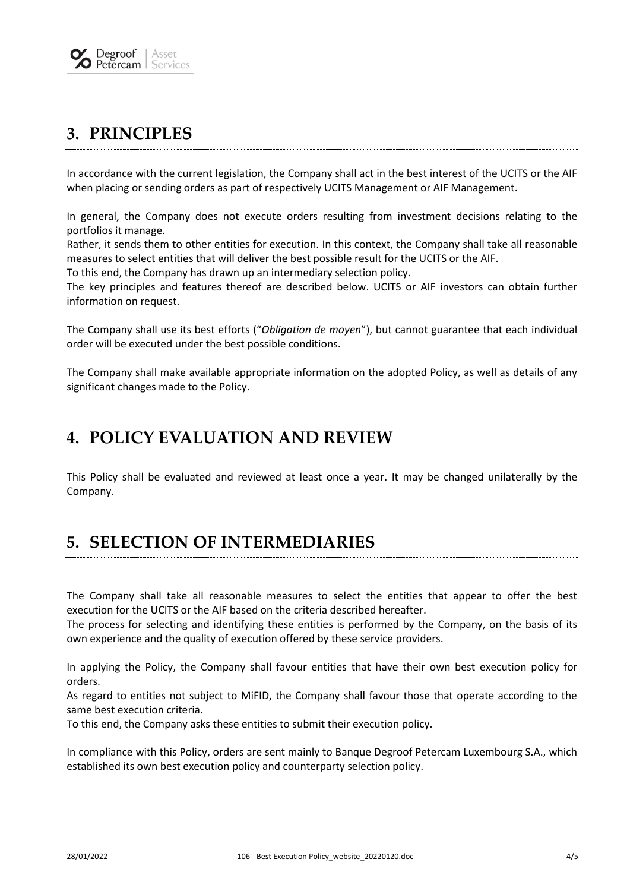

### <span id="page-3-0"></span>**3. PRINCIPLES**

In accordance with the current legislation, the Company shall act in the best interest of the UCITS or the AIF when placing or sending orders as part of respectively UCITS Management or AIF Management.

In general, the Company does not execute orders resulting from investment decisions relating to the portfolios it manage.

Rather, it sends them to other entities for execution. In this context, the Company shall take all reasonable measures to select entities that will deliver the best possible result for the UCITS or the AIF.

To this end, the Company has drawn up an intermediary selection policy.

The key principles and features thereof are described below. UCITS or AIF investors can obtain further information on request.

The Company shall use its best efforts ("*Obligation de moyen*"), but cannot guarantee that each individual order will be executed under the best possible conditions.

<span id="page-3-1"></span>The Company shall make available appropriate information on the adopted Policy, as well as details of any significant changes made to the Policy.

#### **4. POLICY EVALUATION AND REVIEW**

<span id="page-3-2"></span>This Policy shall be evaluated and reviewed at least once a year. It may be changed unilaterally by the Company.

### **5. SELECTION OF INTERMEDIARIES**

The Company shall take all reasonable measures to select the entities that appear to offer the best execution for the UCITS or the AIF based on the criteria described hereafter.

The process for selecting and identifying these entities is performed by the Company, on the basis of its own experience and the quality of execution offered by these service providers.

In applying the Policy, the Company shall favour entities that have their own best execution policy for orders.

As regard to entities not subject to MiFID, the Company shall favour those that operate according to the same best execution criteria.

To this end, the Company asks these entities to submit their execution policy.

In compliance with this Policy, orders are sent mainly to Banque Degroof Petercam Luxembourg S.A., which established its own best execution policy and counterparty selection policy.